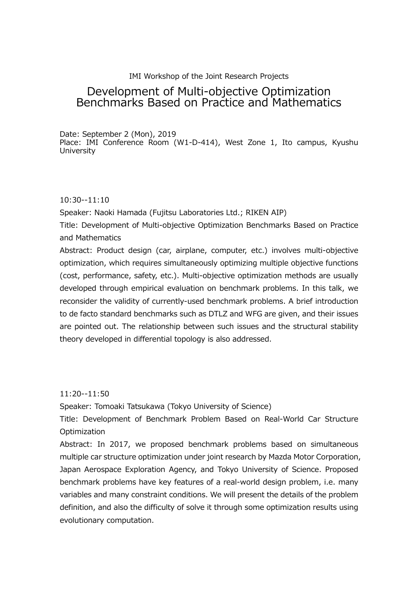# IMI Workshop of the Joint Research Projects

# Development of Multi-objective Optimization Benchmarks Based on Practice and Mathematics

Date: September 2 (Mon), 2019 Place: IMI Conference Room (W1-D-414), West Zone 1, Ito campus, Kyushu **University** 

## 10:30--11:10

Speaker: Naoki Hamada (Fujitsu Laboratories Ltd.; RIKEN AIP)

Title: Development of Multi-objective Optimization Benchmarks Based on Practice and Mathematics

Abstract: Product design (car, airplane, computer, etc.) involves multi-objective optimization, which requires simultaneously optimizing multiple objective functions (cost, performance, safety, etc.). Multi-objective optimization methods are usually developed through empirical evaluation on benchmark problems. In this talk, we reconsider the validity of currently-used benchmark problems. A brief introduction to de facto standard benchmarks such as DTLZ and WFG are given, and their issues are pointed out. The relationship between such issues and the structural stability theory developed in differential topology is also addressed.

11:20--11:50

Speaker: Tomoaki Tatsukawa (Tokyo University of Science)

Title: Development of Benchmark Problem Based on Real-World Car Structure **Optimization** 

Abstract: In 2017, we proposed benchmark problems based on simultaneous multiple car structure optimization under joint research by Mazda Motor Corporation, Japan Aerospace Exploration Agency, and Tokyo University of Science. Proposed benchmark problems have key features of a real-world design problem, i.e. many variables and many constraint conditions. We will present the details of the problem definition, and also the difficulty of solve it through some optimization results using evolutionary computation.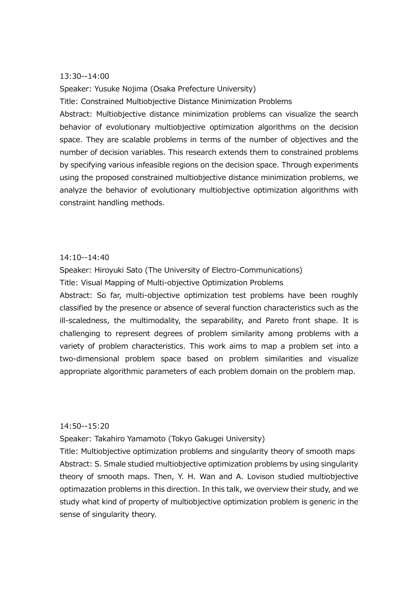#### 13:30--14:00

Speaker: Yusuke Nojima (Osaka Prefecture University)

Title: Constrained Multiobjective Distance Minimization Problems

Abstract: Multiobjective distance minimization problems can visualize the search behavior of evolutionary multiobjective optimization algorithms on the decision space. They are scalable problems in terms of the number of objectives and the number of decision variables. This research extends them to constrained problems by specifying various infeasible regions on the decision space. Through experiments using the proposed constrained multiobjective distance minimization problems, we analyze the behavior of evolutionary multiobjective optimization algorithms with constraint handling methods.

### 14:10--14:40

Speaker: Hiroyuki Sato (The University of Electro-Communications)

Title: Visual Mapping of Multi-objective Optimization Problems

Abstract: So far, multi-objective optimization test problems have been roughly classified by the presence or absence of several function characteristics such as the ill-scaledness, the multimodality, the separability, and Pareto front shape. It is challenging to represent degrees of problem similarity among problems with a variety of problem characteristics. This work aims to map a problem set into a two-dimensional problem space based on problem similarities and visualize appropriate algorithmic parameters of each problem domain on the problem map.

### 14:50--15:20

Speaker: Takahiro Yamamoto (Tokyo Gakugei University)

Title: Multiobjective optimization problems and singularity theory of smooth maps Abstract: S. Smale studied multiobjective optimization problems by using singularity theory of smooth maps. Then, Y. H. Wan and A. Lovison studied multiobjective optimazation problems in this direction. In this talk, we overview their study, and we study what kind of property of multiobjective optimization problem is generic in the sense of singularity theory.